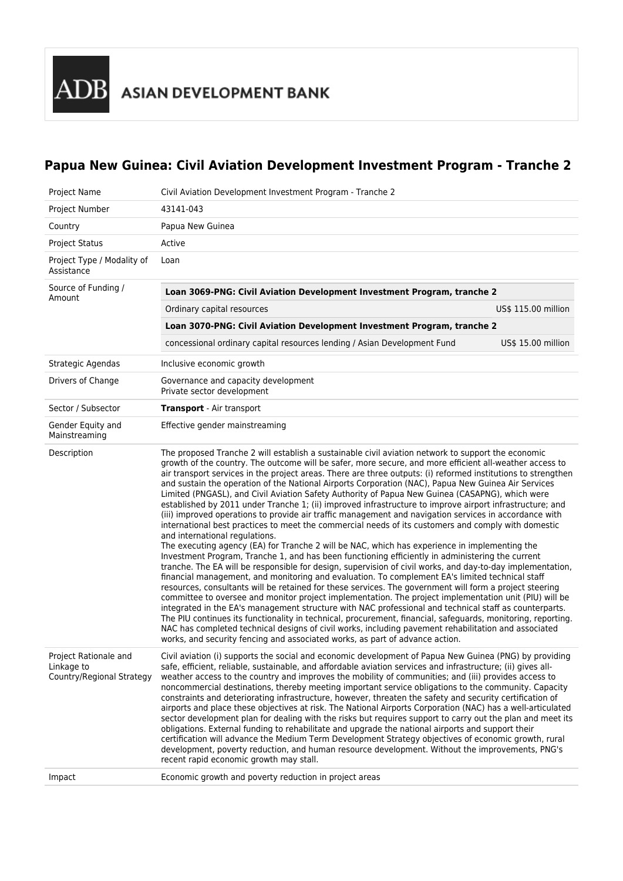# **Papua New Guinea: Civil Aviation Development Investment Program - Tranche 2**

| Project Name                                                     | Civil Aviation Development Investment Program - Tranche 2                                                                                                                                                                                                                                                                                                                                                                                                                                                                                                                                                                                                                                                                                                                                                                                                                                                                                                                                                                                                                                                                                                                                                                                                                                                                                                                                                                                                                                                                                                                                                                                                                                                                                                                                                                                                                                                                                                            |  |  |
|------------------------------------------------------------------|----------------------------------------------------------------------------------------------------------------------------------------------------------------------------------------------------------------------------------------------------------------------------------------------------------------------------------------------------------------------------------------------------------------------------------------------------------------------------------------------------------------------------------------------------------------------------------------------------------------------------------------------------------------------------------------------------------------------------------------------------------------------------------------------------------------------------------------------------------------------------------------------------------------------------------------------------------------------------------------------------------------------------------------------------------------------------------------------------------------------------------------------------------------------------------------------------------------------------------------------------------------------------------------------------------------------------------------------------------------------------------------------------------------------------------------------------------------------------------------------------------------------------------------------------------------------------------------------------------------------------------------------------------------------------------------------------------------------------------------------------------------------------------------------------------------------------------------------------------------------------------------------------------------------------------------------------------------------|--|--|
| Project Number                                                   | 43141-043                                                                                                                                                                                                                                                                                                                                                                                                                                                                                                                                                                                                                                                                                                                                                                                                                                                                                                                                                                                                                                                                                                                                                                                                                                                                                                                                                                                                                                                                                                                                                                                                                                                                                                                                                                                                                                                                                                                                                            |  |  |
| Country                                                          | Papua New Guinea                                                                                                                                                                                                                                                                                                                                                                                                                                                                                                                                                                                                                                                                                                                                                                                                                                                                                                                                                                                                                                                                                                                                                                                                                                                                                                                                                                                                                                                                                                                                                                                                                                                                                                                                                                                                                                                                                                                                                     |  |  |
| <b>Project Status</b>                                            | Active                                                                                                                                                                                                                                                                                                                                                                                                                                                                                                                                                                                                                                                                                                                                                                                                                                                                                                                                                                                                                                                                                                                                                                                                                                                                                                                                                                                                                                                                                                                                                                                                                                                                                                                                                                                                                                                                                                                                                               |  |  |
| Project Type / Modality of<br>Assistance                         | Loan                                                                                                                                                                                                                                                                                                                                                                                                                                                                                                                                                                                                                                                                                                                                                                                                                                                                                                                                                                                                                                                                                                                                                                                                                                                                                                                                                                                                                                                                                                                                                                                                                                                                                                                                                                                                                                                                                                                                                                 |  |  |
| Source of Funding /<br>Amount                                    | Loan 3069-PNG: Civil Aviation Development Investment Program, tranche 2                                                                                                                                                                                                                                                                                                                                                                                                                                                                                                                                                                                                                                                                                                                                                                                                                                                                                                                                                                                                                                                                                                                                                                                                                                                                                                                                                                                                                                                                                                                                                                                                                                                                                                                                                                                                                                                                                              |  |  |
|                                                                  | US\$ 115.00 million<br>Ordinary capital resources                                                                                                                                                                                                                                                                                                                                                                                                                                                                                                                                                                                                                                                                                                                                                                                                                                                                                                                                                                                                                                                                                                                                                                                                                                                                                                                                                                                                                                                                                                                                                                                                                                                                                                                                                                                                                                                                                                                    |  |  |
|                                                                  | Loan 3070-PNG: Civil Aviation Development Investment Program, tranche 2                                                                                                                                                                                                                                                                                                                                                                                                                                                                                                                                                                                                                                                                                                                                                                                                                                                                                                                                                                                                                                                                                                                                                                                                                                                                                                                                                                                                                                                                                                                                                                                                                                                                                                                                                                                                                                                                                              |  |  |
|                                                                  | concessional ordinary capital resources lending / Asian Development Fund<br>US\$ 15.00 million                                                                                                                                                                                                                                                                                                                                                                                                                                                                                                                                                                                                                                                                                                                                                                                                                                                                                                                                                                                                                                                                                                                                                                                                                                                                                                                                                                                                                                                                                                                                                                                                                                                                                                                                                                                                                                                                       |  |  |
| Strategic Agendas                                                | Inclusive economic growth                                                                                                                                                                                                                                                                                                                                                                                                                                                                                                                                                                                                                                                                                                                                                                                                                                                                                                                                                                                                                                                                                                                                                                                                                                                                                                                                                                                                                                                                                                                                                                                                                                                                                                                                                                                                                                                                                                                                            |  |  |
| Drivers of Change                                                | Governance and capacity development<br>Private sector development                                                                                                                                                                                                                                                                                                                                                                                                                                                                                                                                                                                                                                                                                                                                                                                                                                                                                                                                                                                                                                                                                                                                                                                                                                                                                                                                                                                                                                                                                                                                                                                                                                                                                                                                                                                                                                                                                                    |  |  |
| Sector / Subsector                                               | <b>Transport</b> - Air transport                                                                                                                                                                                                                                                                                                                                                                                                                                                                                                                                                                                                                                                                                                                                                                                                                                                                                                                                                                                                                                                                                                                                                                                                                                                                                                                                                                                                                                                                                                                                                                                                                                                                                                                                                                                                                                                                                                                                     |  |  |
| Gender Equity and<br>Mainstreaming                               | Effective gender mainstreaming                                                                                                                                                                                                                                                                                                                                                                                                                                                                                                                                                                                                                                                                                                                                                                                                                                                                                                                                                                                                                                                                                                                                                                                                                                                                                                                                                                                                                                                                                                                                                                                                                                                                                                                                                                                                                                                                                                                                       |  |  |
| Description                                                      | The proposed Tranche 2 will establish a sustainable civil aviation network to support the economic<br>growth of the country. The outcome will be safer, more secure, and more efficient all-weather access to<br>air transport services in the project areas. There are three outputs: (i) reformed institutions to strengthen<br>and sustain the operation of the National Airports Corporation (NAC), Papua New Guinea Air Services<br>Limited (PNGASL), and Civil Aviation Safety Authority of Papua New Guinea (CASAPNG), which were<br>established by 2011 under Tranche 1; (ii) improved infrastructure to improve airport infrastructure; and<br>(iii) improved operations to provide air traffic management and navigation services in accordance with<br>international best practices to meet the commercial needs of its customers and comply with domestic<br>and international regulations.<br>The executing agency (EA) for Tranche 2 will be NAC, which has experience in implementing the<br>Investment Program, Tranche 1, and has been functioning efficiently in administering the current<br>tranche. The EA will be responsible for design, supervision of civil works, and day-to-day implementation,<br>financial management, and monitoring and evaluation. To complement EA's limited technical staff<br>resources, consultants will be retained for these services. The government will form a project steering<br>committee to oversee and monitor project implementation. The project implementation unit (PIU) will be<br>integrated in the EA's management structure with NAC professional and technical staff as counterparts.<br>The PIU continues its functionality in technical, procurement, financial, safeguards, monitoring, reporting.<br>NAC has completed technical designs of civil works, including pavement rehabilitation and associated<br>works, and security fencing and associated works, as part of advance action. |  |  |
| Project Rationale and<br>Linkage to<br>Country/Regional Strategy | Civil aviation (i) supports the social and economic development of Papua New Guinea (PNG) by providing<br>safe, efficient, reliable, sustainable, and affordable aviation services and infrastructure; (ii) gives all-<br>weather access to the country and improves the mobility of communities; and (iii) provides access to<br>noncommercial destinations, thereby meeting important service obligations to the community. Capacity<br>constraints and deteriorating infrastructure, however, threaten the safety and security certification of<br>airports and place these objectives at risk. The National Airports Corporation (NAC) has a well-articulated<br>sector development plan for dealing with the risks but requires support to carry out the plan and meet its<br>obligations. External funding to rehabilitate and upgrade the national airports and support their<br>certification will advance the Medium Term Development Strategy objectives of economic growth, rural<br>development, poverty reduction, and human resource development. Without the improvements, PNG's<br>recent rapid economic growth may stall.                                                                                                                                                                                                                                                                                                                                                                                                                                                                                                                                                                                                                                                                                                                                                                                                                           |  |  |
| Impact                                                           | Economic growth and poverty reduction in project areas                                                                                                                                                                                                                                                                                                                                                                                                                                                                                                                                                                                                                                                                                                                                                                                                                                                                                                                                                                                                                                                                                                                                                                                                                                                                                                                                                                                                                                                                                                                                                                                                                                                                                                                                                                                                                                                                                                               |  |  |
|                                                                  |                                                                                                                                                                                                                                                                                                                                                                                                                                                                                                                                                                                                                                                                                                                                                                                                                                                                                                                                                                                                                                                                                                                                                                                                                                                                                                                                                                                                                                                                                                                                                                                                                                                                                                                                                                                                                                                                                                                                                                      |  |  |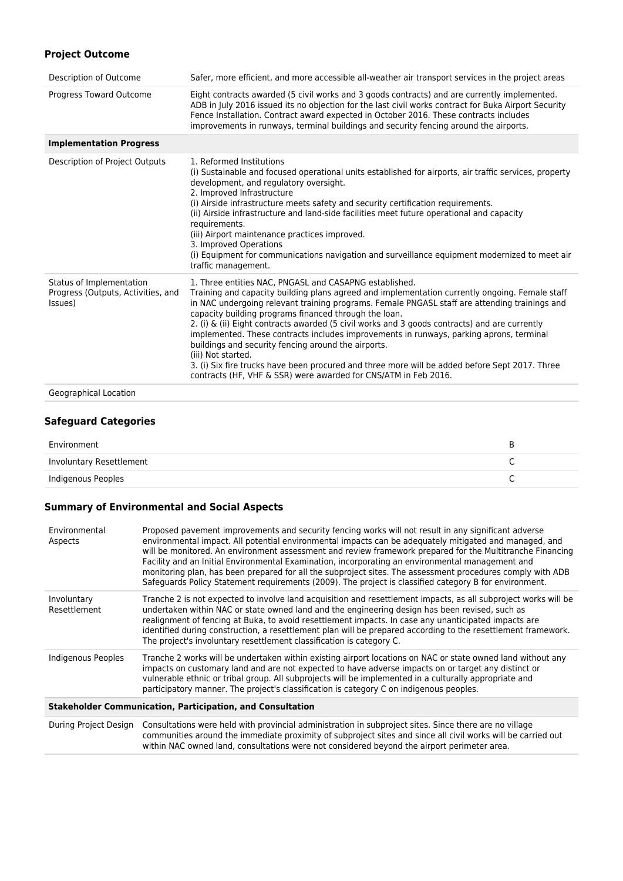# **Project Outcome**

| Description of Outcome                                                    | Safer, more efficient, and more accessible all-weather air transport services in the project areas                                                                                                                                                                                                                                                                                                                                                                                                                                                                                                                                                                                                                                                                  |
|---------------------------------------------------------------------------|---------------------------------------------------------------------------------------------------------------------------------------------------------------------------------------------------------------------------------------------------------------------------------------------------------------------------------------------------------------------------------------------------------------------------------------------------------------------------------------------------------------------------------------------------------------------------------------------------------------------------------------------------------------------------------------------------------------------------------------------------------------------|
| Progress Toward Outcome                                                   | Eight contracts awarded (5 civil works and 3 goods contracts) and are currently implemented.<br>ADB in July 2016 issued its no objection for the last civil works contract for Buka Airport Security<br>Fence Installation. Contract award expected in October 2016. These contracts includes<br>improvements in runways, terminal buildings and security fencing around the airports.                                                                                                                                                                                                                                                                                                                                                                              |
| <b>Implementation Progress</b>                                            |                                                                                                                                                                                                                                                                                                                                                                                                                                                                                                                                                                                                                                                                                                                                                                     |
| Description of Project Outputs                                            | 1. Reformed Institutions<br>(i) Sustainable and focused operational units established for airports, air traffic services, property<br>development, and regulatory oversight.<br>2. Improved Infrastructure<br>(i) Airside infrastructure meets safety and security certification requirements.<br>(ii) Airside infrastructure and land-side facilities meet future operational and capacity<br>requirements.<br>(iii) Airport maintenance practices improved.<br>3. Improved Operations<br>(i) Equipment for communications navigation and surveillance equipment modernized to meet air<br>traffic management.                                                                                                                                                     |
| Status of Implementation<br>Progress (Outputs, Activities, and<br>Issues) | 1. Three entities NAC, PNGASL and CASAPNG established.<br>Training and capacity building plans agreed and implementation currently ongoing. Female staff<br>in NAC undergoing relevant training programs. Female PNGASL staff are attending trainings and<br>capacity building programs financed through the loan.<br>2. (i) $\&$ (ii) Eight contracts awarded (5 civil works and 3 goods contracts) and are currently<br>implemented. These contracts includes improvements in runways, parking aprons, terminal<br>buildings and security fencing around the airports.<br>(iii) Not started.<br>3. (i) Six fire trucks have been procured and three more will be added before Sept 2017. Three<br>contracts (HF, VHF & SSR) were awarded for CNS/ATM in Feb 2016. |
| Geographical Location                                                     |                                                                                                                                                                                                                                                                                                                                                                                                                                                                                                                                                                                                                                                                                                                                                                     |

## **Safeguard Categories**

| Environment              |  |
|--------------------------|--|
| Involuntary Resettlement |  |
| Indigenous Peoples       |  |

## **Summary of Environmental and Social Aspects**

| Environmental<br>Aspects                                          | Proposed pavement improvements and security fencing works will not result in any significant adverse<br>environmental impact. All potential environmental impacts can be adequately mitigated and managed, and<br>will be monitored. An environment assessment and review framework prepared for the Multitranche Financing<br>Facility and an Initial Environmental Examination, incorporating an environmental management and<br>monitoring plan, has been prepared for all the subproject sites. The assessment procedures comply with ADB<br>Safequards Policy Statement requirements (2009). The project is classified category B for environment. |  |  |  |
|-------------------------------------------------------------------|---------------------------------------------------------------------------------------------------------------------------------------------------------------------------------------------------------------------------------------------------------------------------------------------------------------------------------------------------------------------------------------------------------------------------------------------------------------------------------------------------------------------------------------------------------------------------------------------------------------------------------------------------------|--|--|--|
| Involuntary<br>Resettlement                                       | Tranche 2 is not expected to involve land acquisition and resettlement impacts, as all subproject works will be<br>undertaken within NAC or state owned land and the engineering design has been revised, such as<br>realignment of fencing at Buka, to avoid resettlement impacts. In case any unanticipated impacts are<br>identified during construction, a resettlement plan will be prepared according to the resettlement framework.<br>The project's involuntary resettlement classification is category C.                                                                                                                                      |  |  |  |
| Indigenous Peoples                                                | Tranche 2 works will be undertaken within existing airport locations on NAC or state owned land without any<br>impacts on customary land and are not expected to have adverse impacts on or target any distinct or<br>vulnerable ethnic or tribal group. All subprojects will be implemented in a culturally appropriate and<br>participatory manner. The project's classification is category C on indigenous peoples.                                                                                                                                                                                                                                 |  |  |  |
| <b>Stakeholder Communication, Participation, and Consultation</b> |                                                                                                                                                                                                                                                                                                                                                                                                                                                                                                                                                                                                                                                         |  |  |  |

During Project Design Consultations were held with provincial administration in subproject sites. Since there are no village communities around the immediate proximity of subproject sites and since all civil works will be carried out within NAC owned land, consultations were not considered beyond the airport perimeter area.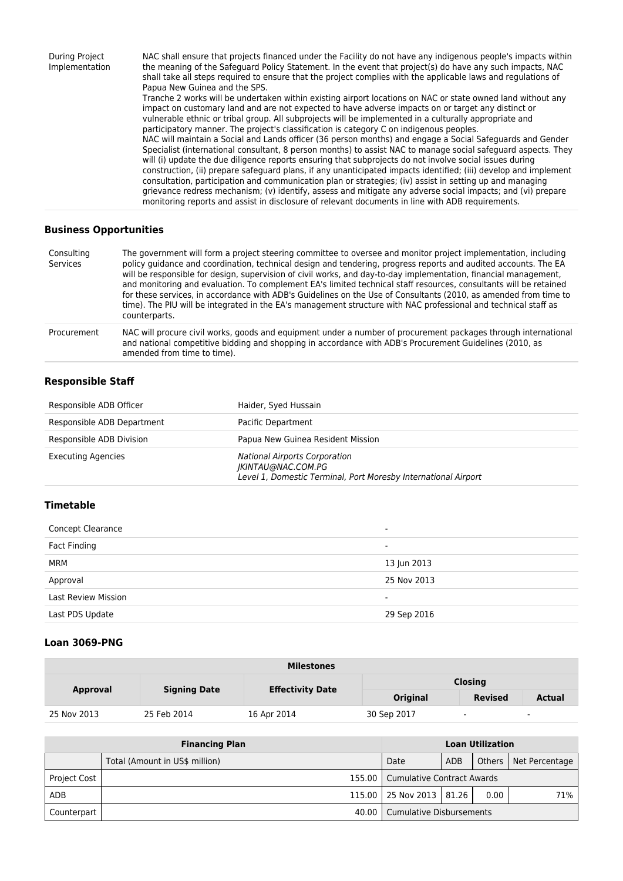During Project Implementation NAC shall ensure that projects financed under the Facility do not have any indigenous people's impacts within the meaning of the Safeguard Policy Statement. In the event that project(s) do have any such impacts, NAC shall take all steps required to ensure that the project complies with the applicable laws and regulations of Papua New Guinea and the SPS. Tranche 2 works will be undertaken within existing airport locations on NAC or state owned land without any impact on customary land and are not expected to have adverse impacts on or target any distinct or vulnerable ethnic or tribal group. All subprojects will be implemented in a culturally appropriate and participatory manner. The project's classification is category C on indigenous peoples. NAC will maintain a Social and Lands officer (36 person months) and engage a Social Safeguards and Gender Specialist (international consultant, 8 person months) to assist NAC to manage social safeguard aspects. They will (i) update the due diligence reports ensuring that subprojects do not involve social issues during construction, (ii) prepare safeguard plans, if any unanticipated impacts identified; (iii) develop and implement consultation, participation and communication plan or strategies; (iv) assist in setting up and managing grievance redress mechanism; (v) identify, assess and mitigate any adverse social impacts; and (vi) prepare monitoring reports and assist in disclosure of relevant documents in line with ADB requirements.

#### **Business Opportunities**

| Consulting<br>Services | The government will form a project steering committee to oversee and monitor project implementation, including<br>policy guidance and coordination, technical design and tendering, progress reports and audited accounts. The EA<br>will be responsible for design, supervision of civil works, and day-to-day implementation, financial management,<br>and monitoring and evaluation. To complement EA's limited technical staff resources, consultants will be retained<br>for these services, in accordance with ADB's Guidelines on the Use of Consultants (2010, as amended from time to<br>time). The PIU will be integrated in the EA's management structure with NAC professional and technical staff as<br>counterparts. |
|------------------------|------------------------------------------------------------------------------------------------------------------------------------------------------------------------------------------------------------------------------------------------------------------------------------------------------------------------------------------------------------------------------------------------------------------------------------------------------------------------------------------------------------------------------------------------------------------------------------------------------------------------------------------------------------------------------------------------------------------------------------|
| Procurement            | NAC will procure civil works, goods and equipment under a number of procurement packages through international<br>and national competitive bidding and shopping in accordance with ADB's Procurement Guidelines (2010, as<br>amended from time to time).                                                                                                                                                                                                                                                                                                                                                                                                                                                                           |

#### **Responsible Staff**

| Responsible ADB Officer    | Haider, Syed Hussain                                                                                                         |
|----------------------------|------------------------------------------------------------------------------------------------------------------------------|
| Responsible ADB Department | Pacific Department                                                                                                           |
| Responsible ADB Division   | Papua New Guinea Resident Mission                                                                                            |
| <b>Executing Agencies</b>  | <b>National Airports Corporation</b><br>IKINTAU@NAC.COM.PG<br>Level 1, Domestic Terminal, Port Moresby International Airport |

## **Timetable**

| <b>Concept Clearance</b>   |                          |
|----------------------------|--------------------------|
| Fact Finding               | ۰                        |
| MRM                        | 13 Jun 2013              |
| Approval                   | 25 Nov 2013              |
| <b>Last Review Mission</b> | $\overline{\phantom{0}}$ |
| Last PDS Update            | 29 Sep 2016              |

#### **Loan 3069-PNG**

| <b>Milestones</b> |                     |                         |                |                          |               |  |
|-------------------|---------------------|-------------------------|----------------|--------------------------|---------------|--|
|                   |                     | <b>Effectivity Date</b> | <b>Closing</b> |                          |               |  |
| <b>Approval</b>   | <b>Signing Date</b> |                         | Original       | <b>Revised</b>           | <b>Actual</b> |  |
| 25 Nov 2013       | 25 Feb 2014         | 16 Apr 2014             | 30 Sep 2017    | $\overline{\phantom{0}}$ | $\sim$        |  |

| <b>Financing Plan</b> |                                |                                     |            | <b>Loan Utilization</b> |                         |
|-----------------------|--------------------------------|-------------------------------------|------------|-------------------------|-------------------------|
|                       | Total (Amount in US\$ million) | Date                                | <b>ADB</b> |                         | Others   Net Percentage |
| <b>Project Cost</b>   |                                | 155.00   Cumulative Contract Awards |            |                         |                         |
| <b>ADB</b>            |                                | 115.00 25 Nov 2013   81.26          |            | 0.00                    | 71%                     |
| Counterpart           |                                | 40.00   Cumulative Disbursements    |            |                         |                         |